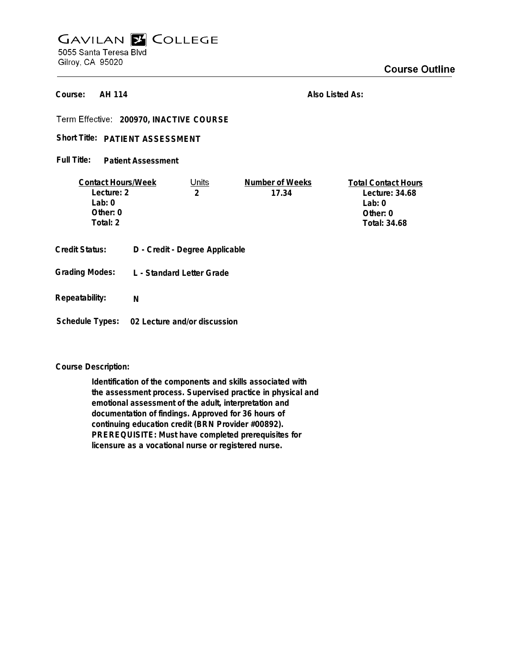# **GAVILAN E COLLEGE** 5055 Santa Teresa Blvd Gilroy, CA 95020

**AH 114 Course:**

**Also Listed As:**

**200970, INACTIVE COURSE**

Short Title: PATIENT ASSESSMENT

**Patient Assessment Full Title:**

| <b>Contact Hours/Week</b> |                                | Units                     | Number of Weeks | <b>Total Contact Hours</b> |
|---------------------------|--------------------------------|---------------------------|-----------------|----------------------------|
| Lecture: 2                |                                | 2                         | 17.34           | Lecture: 34.68             |
| Lab: $0$                  |                                |                           |                 | Lab: $0$                   |
| Other: $0$                |                                |                           |                 | Other: $0$                 |
| Total: 2                  |                                |                           |                 | Total: 34.68               |
|                           |                                |                           |                 |                            |
| Credit Status:            | D - Credit - Degree Applicable |                           |                 |                            |
| <b>Grading Modes:</b>     |                                | L - Standard Letter Grade |                 |                            |

**Repeatability: N**

**Schedule Types: 02 Lecture and/or discussion**

**Course Description:**

**Identification of the components and skills associated with the assessment process. Supervised practice in physical and emotional assessment of the adult, interpretation and documentation of findings. Approved for 36 hours of continuing education credit (BRN Provider #00892). PREREQUISITE: Must have completed prerequisites for licensure as a vocational nurse or registered nurse.**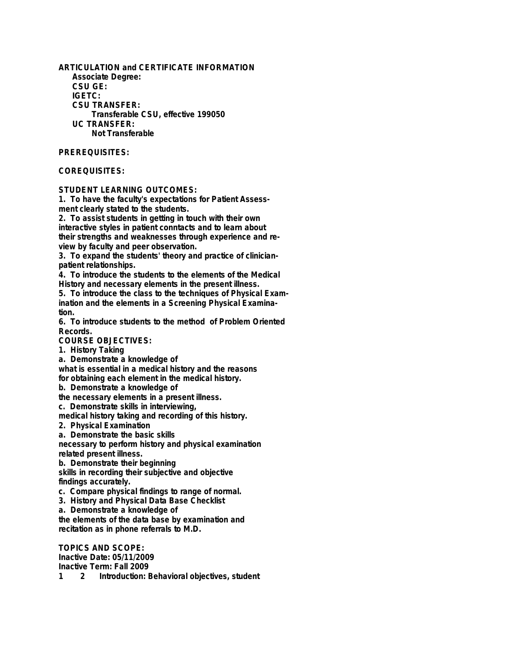**ARTICULATION and CERTIFICATE INFORMATION Associate Degree: CSU GE: IGETC: CSU TRANSFER: Transferable CSU, effective 199050 UC TRANSFER: Not Transferable**

# **PREREQUISITES:**

## **COREQUISITES:**

### **STUDENT LEARNING OUTCOMES:**

**1. To have the faculty's expectations for Patient Assessment clearly stated to the students.**

**2. To assist students in getting in touch with their own interactive styles in patient conntacts and to learn about their strengths and weaknesses through experience and review by faculty and peer observation.**

**3. To expand the students' theory and practice of clinicianpatient relationships.**

**4. To introduce the students to the elements of the Medical History and necessary elements in the present illness.**

**5. To introduce the class to the techniques of Physical Examination and the elements in a Screening Physical Examination.**

**6. To introduce students to the method of Problem Oriented Records.**

**COURSE OBJECTIVES:**

**1. History Taking**

**a. Demonstrate a knowledge of**

**what is essential in a medical history and the reasons**

**for obtaining each element in the medical history.**

**b. Demonstrate a knowledge of**

**the necessary elements in a present illness.**

**c. Demonstrate skills in interviewing,**

**medical history taking and recording of this history.**

**2. Physical Examination**

**a. Demonstrate the basic skills**

**necessary to perform history and physical examination related present illness.**

**b. Demonstrate their beginning**

**skills in recording their subjective and objective findings accurately.**

**c. Compare physical findings to range of normal.**

**3. History and Physical Data Base Checklist**

**a. Demonstrate a knowledge of**

**the elements of the data base by examination and recitation as in phone referrals to M.D.**

**TOPICS AND SCOPE: Inactive Date: 05/11/2009 Inactive Term: Fall 2009**

**1 2 Introduction: Behavioral objectives, student**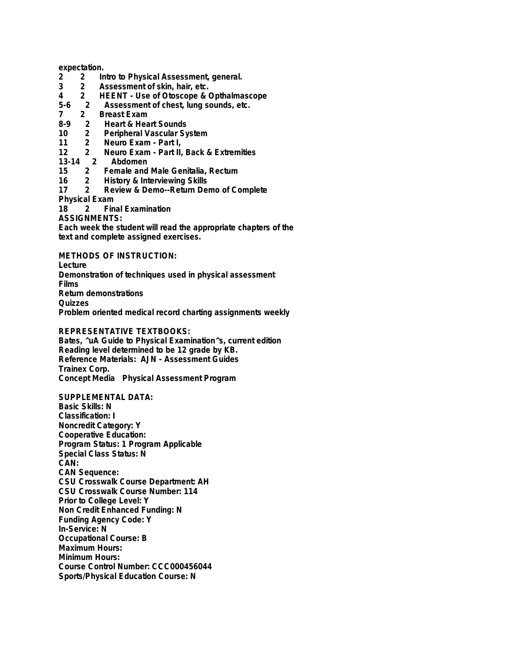#### **expectation.**

- **2 2 Intro to Physical Assessment, general.**
- **3 2 Assessment of skin, hair, etc.**
- **4 2 HEENT Use of Otoscope & Opthalmascope**
- **5-6 2 Assessment of chest, lung sounds, etc.**
- **7 2 Breast Exam**
- **8-9 2 Heart & Heart Sounds**
- **10 2 Peripheral Vascular System**
- **11 2 Neuro Exam Part I,**
- **12 2 Neuro Exam Part II, Back & Extremities**
- **13-14 2 Abdomen**
- **15 2 Female and Male Genitalia, Rectum**
- **16 2 History & Interviewing Skills**
- **17 2 Review & Demo--Return Demo of Complete**

**Physical Exam**<br>18 2 Fin

**Final Examination** 

**ASSIGNMENTS:**

**Each week the student will read the appropriate chapters of the text and complete assigned exercises.**

**METHODS OF INSTRUCTION:**

**Lecture Demonstration of techniques used in physical assessment Films**

**Return demonstrations**

**Quizzes**

**Problem oriented medical record charting assignments weekly**

### **REPRESENTATIVE TEXTBOOKS:**

**Bates, ^uA Guide to Physical Examination^s, current edition Reading level determined to be 12 grade by KB. Reference Materials: AJN - Assessment Guides Trainex Corp. Concept Media Physical Assessment Program**

**SUPPLEMENTAL DATA:**

**Basic Skills: N Classification: I Noncredit Category: Y Cooperative Education: Program Status: 1 Program Applicable Special Class Status: N CAN: CAN Sequence: CSU Crosswalk Course Department: AH CSU Crosswalk Course Number: 114 Prior to College Level: Y Non Credit Enhanced Funding: N Funding Agency Code: Y In-Service: N Occupational Course: B Maximum Hours: Minimum Hours: Course Control Number: CCC000456044 Sports/Physical Education Course: N**